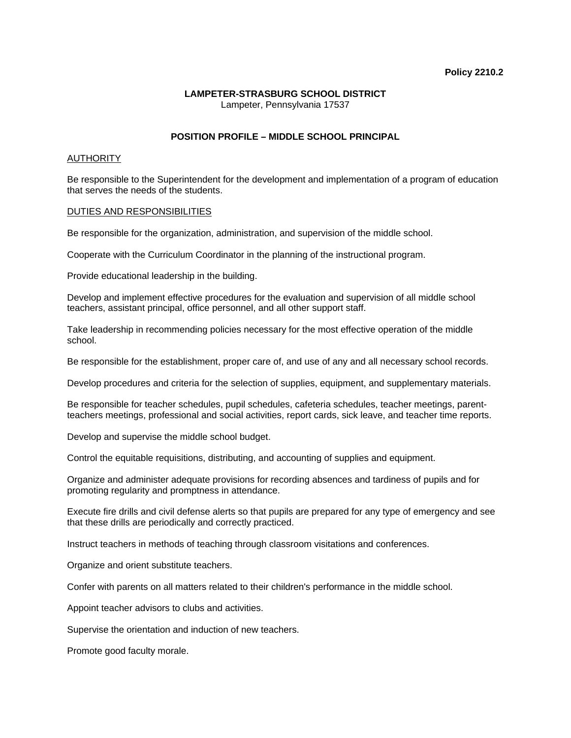#### **Policy 2210.2**

## **LAMPETER-STRASBURG SCHOOL DISTRICT**  Lampeter, Pennsylvania 17537

# **POSITION PROFILE – MIDDLE SCHOOL PRINCIPAL**

## AUTHORITY

Be responsible to the Superintendent for the development and implementation of a program of education that serves the needs of the students.

## DUTIES AND RESPONSIBILITIES

Be responsible for the organization, administration, and supervision of the middle school.

Cooperate with the Curriculum Coordinator in the planning of the instructional program.

Provide educational leadership in the building.

Develop and implement effective procedures for the evaluation and supervision of all middle school teachers, assistant principal, office personnel, and all other support staff.

Take leadership in recommending policies necessary for the most effective operation of the middle school.

Be responsible for the establishment, proper care of, and use of any and all necessary school records.

Develop procedures and criteria for the selection of supplies, equipment, and supplementary materials.

Be responsible for teacher schedules, pupil schedules, cafeteria schedules, teacher meetings, parentteachers meetings, professional and social activities, report cards, sick leave, and teacher time reports.

Develop and supervise the middle school budget.

Control the equitable requisitions, distributing, and accounting of supplies and equipment.

Organize and administer adequate provisions for recording absences and tardiness of pupils and for promoting regularity and promptness in attendance.

Execute fire drills and civil defense alerts so that pupils are prepared for any type of emergency and see that these drills are periodically and correctly practiced.

Instruct teachers in methods of teaching through classroom visitations and conferences.

Organize and orient substitute teachers.

Confer with parents on all matters related to their children's performance in the middle school.

Appoint teacher advisors to clubs and activities.

Supervise the orientation and induction of new teachers.

Promote good faculty morale.